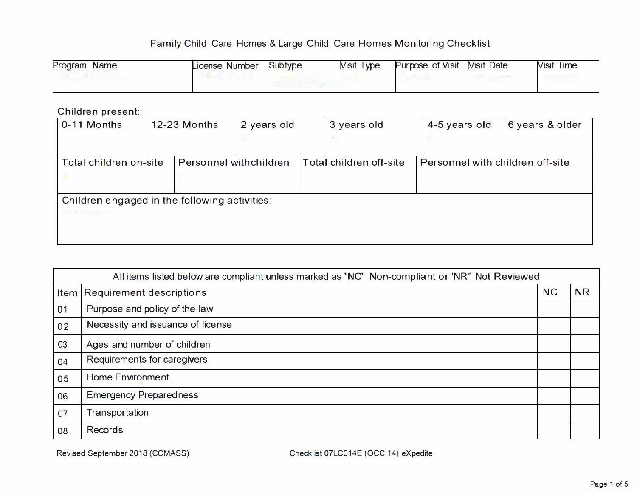| Program<br><b>Name</b> | License Number | Subtype | <b>Visit Type</b> | Purpose of Visit | <b>Nisit Date</b> | <b>Visit Time</b> |
|------------------------|----------------|---------|-------------------|------------------|-------------------|-------------------|
|                        |                |         |                   |                  |                   |                   |

### Children present:

| 0-11 Months                                                             | <b>12-23 Months</b>    | 2 years old | 3 years old             | 4-5 years old | 6 years & older                  |
|-------------------------------------------------------------------------|------------------------|-------------|-------------------------|---------------|----------------------------------|
| Total children on-site                                                  | Personnel withchildren |             | Total children off-site |               | Personnel with children off-site |
| Children engaged in the following activities:<br><b>SUEL AUTOMOTIVE</b> |                        |             |                         |               |                                  |

|      | All items listed below are compliant unless marked as "NC" Non-compliant or "NR" Not Reviewed |           |           |  |  |
|------|-----------------------------------------------------------------------------------------------|-----------|-----------|--|--|
| Item | Requirement descriptions                                                                      | <b>NC</b> | <b>NR</b> |  |  |
| 01   | Purpose and policy of the law                                                                 |           |           |  |  |
| 02   | Necessity and issuance of license                                                             |           |           |  |  |
| 03   | Ages and number of children                                                                   |           |           |  |  |
| 04   | Requirements for caregivers                                                                   |           |           |  |  |
| 05   | <b>Home Environment</b>                                                                       |           |           |  |  |
| 06   | <b>Emergency Preparedness</b>                                                                 |           |           |  |  |
| 07   | Transportation                                                                                |           |           |  |  |
| 08   | <b>Records</b>                                                                                |           |           |  |  |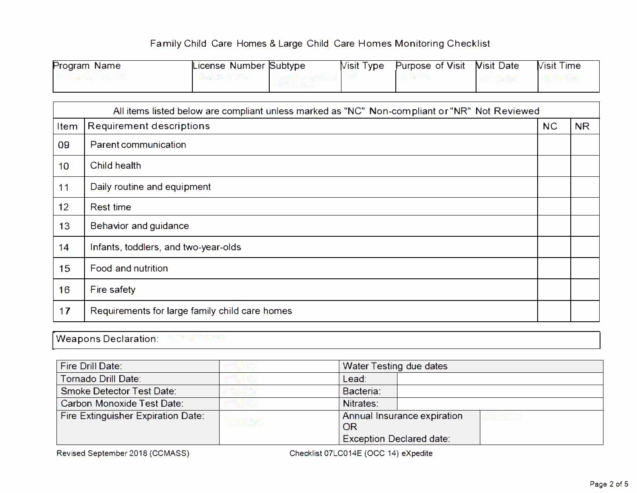| Program Name | License Number Subtype | <b>Nisit Type</b> | <b>Purpose of Visit</b> | <b>Nisit Date</b> | <b>Visit Time</b> |
|--------------|------------------------|-------------------|-------------------------|-------------------|-------------------|
|              |                        |                   |                         |                   |                   |

|      | All items listed below are compliant unless marked as "NC" Non-compliant or "NR" Not Reviewed |           |           |  |  |  |
|------|-----------------------------------------------------------------------------------------------|-----------|-----------|--|--|--|
| Item | <b>Requirement descriptions</b>                                                               | <b>NC</b> | <b>NR</b> |  |  |  |
| 09   | <b>Parent communication</b>                                                                   |           |           |  |  |  |
| 10   | Child health                                                                                  |           |           |  |  |  |
| 11   | Daily routine and equipment                                                                   |           |           |  |  |  |
| 12   | <b>Rest time</b>                                                                              |           |           |  |  |  |
| 13   | <b>Behavior and guidance</b>                                                                  |           |           |  |  |  |
| 14   | Infants, toddlers, and two-year-olds                                                          |           |           |  |  |  |
| 15   | <b>Food and nutrition</b>                                                                     |           |           |  |  |  |
| 16   | <b>Fire safety</b>                                                                            |           |           |  |  |  |
| 17   | Requirements for large family child care homes                                                |           |           |  |  |  |

Weapons Declaration:

F

| <b>Fire Drill Date:</b>                   | <b>Water Testing due dates</b>    |  |
|-------------------------------------------|-----------------------------------|--|
| Tornado Drill Date:                       | Lead:                             |  |
| <b>Smoke Detector Test Date:</b>          | Bacteria:                         |  |
| <b>Carbon Monoxide Test Date:</b>         | Nitrates:                         |  |
| <b>Fire Extinguisher Expiration Date:</b> | Annual Insurance expiration<br>OR |  |
|                                           | <b>Exception Declared date:</b>   |  |

Revised September 2018 (CCMASS) Checklist 07LC014E (OCC 14) eXpedite

| NC" Non-compliant or "NR" Not Reviewed |           |           |  |  |  |
|----------------------------------------|-----------|-----------|--|--|--|
|                                        | <b>NC</b> | <b>NR</b> |  |  |  |
|                                        |           |           |  |  |  |
|                                        |           |           |  |  |  |
|                                        |           |           |  |  |  |
|                                        |           |           |  |  |  |
|                                        |           |           |  |  |  |
|                                        |           |           |  |  |  |
|                                        |           |           |  |  |  |
|                                        |           |           |  |  |  |
|                                        |           |           |  |  |  |

| <b>Water Testing due dates</b> |                                    |  |
|--------------------------------|------------------------------------|--|
| Lead:                          |                                    |  |
| Bacteria:                      |                                    |  |
| Nitrates:                      |                                    |  |
| OR                             | <b>Annual Insurance expiration</b> |  |
|                                | <b>Exception Declared date:</b>    |  |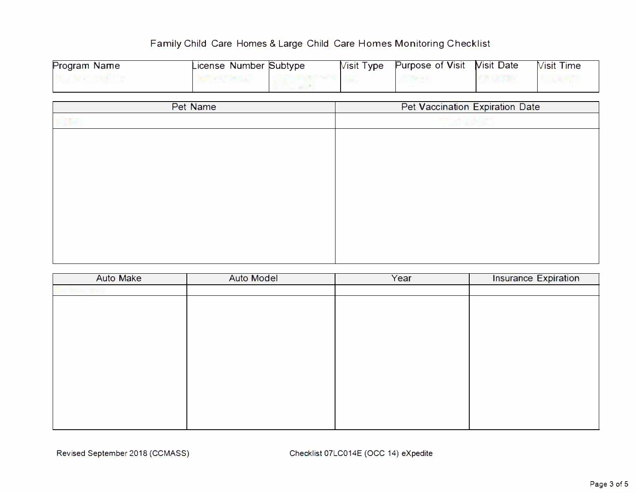| <b>Program Name</b> | License Number Subtype | <b>Visit Type</b> | <b>Purpose of Visit Nisit Date</b> | <b>Visit Time</b> |
|---------------------|------------------------|-------------------|------------------------------------|-------------------|
|                     |                        |                   |                                    |                   |

| Pet Name |  |
|----------|--|
|          |  |
|          |  |
|          |  |
|          |  |
|          |  |
|          |  |
|          |  |
|          |  |
|          |  |
|          |  |

| <b>Auto Make</b> | <b>Auto Model</b> | Year | <b>Insurance Expiration</b> |
|------------------|-------------------|------|-----------------------------|
|                  |                   |      |                             |
|                  |                   |      |                             |
|                  |                   |      |                             |
|                  |                   |      |                             |
|                  |                   |      |                             |
|                  |                   |      |                             |
|                  |                   |      |                             |
|                  |                   |      |                             |
|                  |                   |      |                             |
|                  |                   |      |                             |
|                  |                   |      |                             |
|                  |                   |      |                             |

#### Pet Vaccination Expiration Date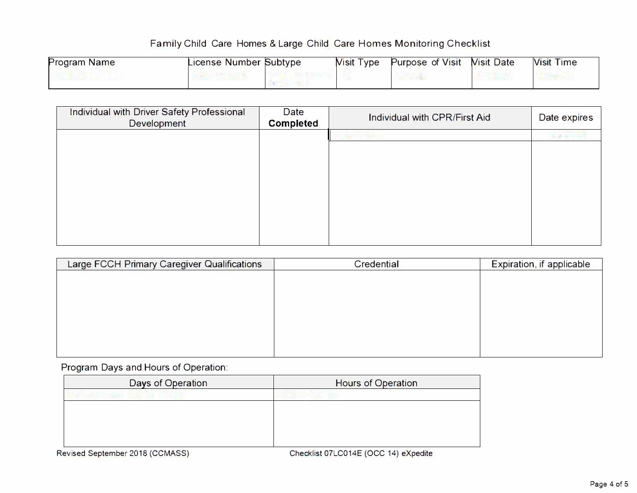| <b>Program Name</b> | License Number Subtype | <b>Nisit Type</b> | <b>Purpose of Visit Nisit Date</b> | <b>Visit Time</b> |
|---------------------|------------------------|-------------------|------------------------------------|-------------------|
|                     |                        |                   |                                    |                   |

| <b>SILLY</b> |
|--------------|
|              |
|              |
|              |
|              |
|              |
|              |
|              |

| <b>Large FCCH Primary Caregiver Qualifications</b> | <b>Credential</b> | <b>Expiration, if applicable</b> |
|----------------------------------------------------|-------------------|----------------------------------|
|                                                    |                   |                                  |
|                                                    |                   |                                  |
|                                                    |                   |                                  |
|                                                    |                   |                                  |
|                                                    |                   |                                  |
|                                                    |                   |                                  |
|                                                    |                   |                                  |

Program Days and Hours of Operation:

| Days of Operation | <b>Hours of Operation</b> |
|-------------------|---------------------------|
|                   |                           |
|                   |                           |
|                   |                           |
|                   |                           |
|                   |                           |
|                   |                           |